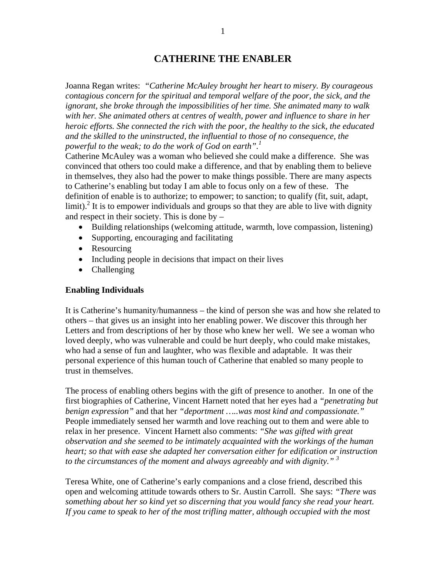## **CATHERINE THE ENABLER**

Joanna Regan writes: *"Catherine McAuley brought her heart to misery. By courageous contagious concern for the spiritual and temporal welfare of the poor, the sick, and the ignorant, she broke through the impossibilities of her time. She animated many to walk with her. She animated others at centres of wealth, power and influence to share in her heroic efforts. She connected the rich with the poor, the healthy to the sick, the educated and the skilled to the uninstructed, the influential to those of no consequence, the powerful to the weak; to do the work of God on earth".<sup>1</sup>*

Catherine McAuley was a woman who believed she could make a difference. She was convinced that others too could make a difference, and that by enabling them to believe in themselves, they also had the power to make things possible. There are many aspects to Catherine's enabling but today I am able to focus only on a few of these. The definition of enable is to authorize; to empower; to sanction; to qualify (fit, suit, adapt, limit).<sup>2</sup> It is to empower individuals and groups so that they are able to live with dignity and respect in their society. This is done by –

- Building relationships (welcoming attitude, warmth, love compassion, listening)
- Supporting, encouraging and facilitating
- Resourcing
- Including people in decisions that impact on their lives
- Challenging

## **Enabling Individuals**

It is Catherine's humanity/humanness – the kind of person she was and how she related to others – that gives us an insight into her enabling power. We discover this through her Letters and from descriptions of her by those who knew her well. We see a woman who loved deeply, who was vulnerable and could be hurt deeply, who could make mistakes, who had a sense of fun and laughter, who was flexible and adaptable. It was their personal experience of this human touch of Catherine that enabled so many people to trust in themselves.

The process of enabling others begins with the gift of presence to another. In one of the first biographies of Catherine, Vincent Harnett noted that her eyes had a *"penetrating but benign expression"* and that her *"deportment …..was most kind and compassionate."*  People immediately sensed her warmth and love reaching out to them and were able to relax in her presence. Vincent Harnett also comments: *"She was gifted with great observation and she seemed to be intimately acquainted with the workings of the human heart; so that with ease she adapted her conversation either for edification or instruction to the circumstances of the moment and always agreeably and with dignity." 3*

Teresa White, one of Catherine's early companions and a close friend, described this open and welcoming attitude towards others to Sr. Austin Carroll. She says: *"There was something about her so kind yet so discerning that you would fancy she read your heart. If you came to speak to her of the most trifling matter, although occupied with the most*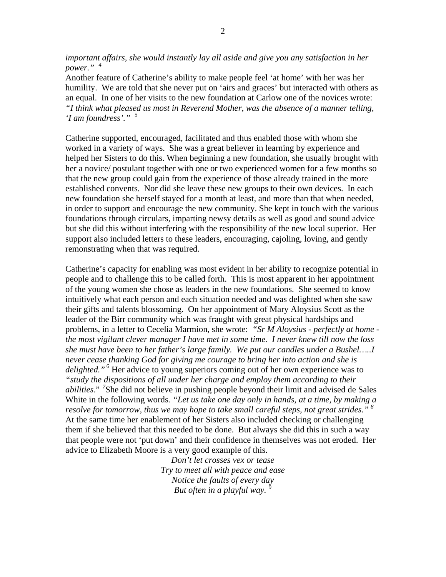*important affairs, she would instantly lay all aside and give you any satisfaction in her power." <sup>4</sup>*

Another feature of Catherine's ability to make people feel 'at home' with her was her humility. We are told that she never put on 'airs and graces' but interacted with others as an equal. In one of her visits to the new foundation at Carlow one of the novices wrote: *"I think what pleased us most in Reverend Mother, was the absence of a manner telling, 'I am foundress'."* <sup>5</sup>

Catherine supported, encouraged, facilitated and thus enabled those with whom she worked in a variety of ways. She was a great believer in learning by experience and helped her Sisters to do this. When beginning a new foundation, she usually brought with her a novice/ postulant together with one or two experienced women for a few months so that the new group could gain from the experience of those already trained in the more established convents. Nor did she leave these new groups to their own devices. In each new foundation she herself stayed for a month at least, and more than that when needed, in order to support and encourage the new community. She kept in touch with the various foundations through circulars, imparting newsy details as well as good and sound advice but she did this without interfering with the responsibility of the new local superior. Her support also included letters to these leaders, encouraging, cajoling, loving, and gently remonstrating when that was required.

Catherine's capacity for enabling was most evident in her ability to recognize potential in people and to challenge this to be called forth. This is most apparent in her appointment of the young women she chose as leaders in the new foundations. She seemed to know intuitively what each person and each situation needed and was delighted when she saw their gifts and talents blossoming. On her appointment of Mary Aloysius Scott as the leader of the Birr community which was fraught with great physical hardships and problems, in a letter to Cecelia Marmion, she wrote: *"Sr M Aloysius - perfectly at home the most vigilant clever manager I have met in some time. I never knew till now the loss she must have been to her father's large family. We put our candles under a Bushel…..I never cease thanking God for giving me courage to bring her into action and she is*  delighted."<sup>6</sup> Her advice to young superiors coming out of her own experience was to *"study the dispositions of all under her charge and employ them according to their abilities*." *<sup>7</sup>* She did not believe in pushing people beyond their limit and advised de Sales White in the following words*. "Let us take one day only in hands, at a time, by making a resolve for tomorrow, thus we may hope to take small careful steps, not great strides." 8* At the same time her enablement of her Sisters also included checking or challenging them if she believed that this needed to be done. But always she did this in such a way that people were not 'put down' and their confidence in themselves was not eroded. Her advice to Elizabeth Moore is a very good example of this.

> *Don't let crosses vex or tease Try to meet all with peace and ease Notice the faults of every day But often in a playful way.* <sup>9</sup>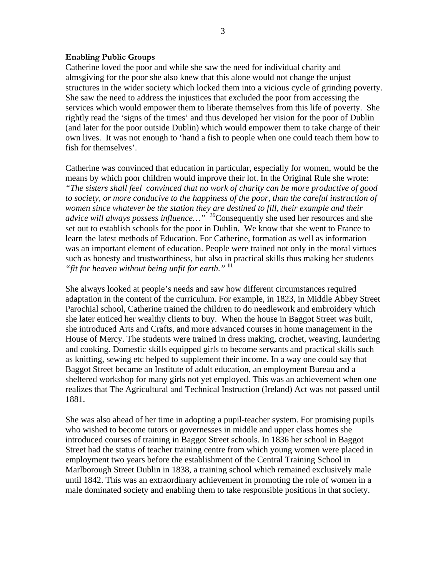## **Enabling Public Groups**

Catherine loved the poor and while she saw the need for individual charity and almsgiving for the poor she also knew that this alone would not change the unjust structures in the wider society which locked them into a vicious cycle of grinding poverty. She saw the need to address the injustices that excluded the poor from accessing the services which would empower them to liberate themselves from this life of poverty. She rightly read the 'signs of the times' and thus developed her vision for the poor of Dublin (and later for the poor outside Dublin) which would empower them to take charge of their own lives. It was not enough to 'hand a fish to people when one could teach them how to fish for themselves'.

Catherine was convinced that education in particular, especially for women, would be the means by which poor children would improve their lot. In the Original Rule she wrote: *"The sisters shall feel convinced that no work of charity can be more productive of good to society, or more conducive to the happiness of the poor, than the careful instruction of women since whatever be the station they are destined to fill, their example and their advice will always possess influence…" <sup>10</sup>*Consequently she used her resources and she set out to establish schools for the poor in Dublin. We know that she went to France to learn the latest methods of Education. For Catherine, formation as well as information was an important element of education. People were trained not only in the moral virtues such as honesty and trustworthiness, but also in practical skills thus making her students *"fit for heaven without being unfit for earth."* **<sup>11</sup>**

She always looked at people's needs and saw how different circumstances required adaptation in the content of the curriculum. For example, in 1823, in Middle Abbey Street Parochial school, Catherine trained the children to do needlework and embroidery which she later enticed her wealthy clients to buy. When the house in Baggot Street was built, she introduced Arts and Crafts, and more advanced courses in home management in the House of Mercy. The students were trained in dress making, crochet, weaving, laundering and cooking. Domestic skills equipped girls to become servants and practical skills such as knitting, sewing etc helped to supplement their income. In a way one could say that Baggot Street became an Institute of adult education, an employment Bureau and a sheltered workshop for many girls not yet employed. This was an achievement when one realizes that The Agricultural and Technical Instruction (Ireland) Act was not passed until 1881.

She was also ahead of her time in adopting a pupil-teacher system. For promising pupils who wished to become tutors or governesses in middle and upper class homes she introduced courses of training in Baggot Street schools. In 1836 her school in Baggot Street had the status of teacher training centre from which young women were placed in employment two years before the establishment of the Central Training School in Marlborough Street Dublin in 1838, a training school which remained exclusively male until 1842. This was an extraordinary achievement in promoting the role of women in a male dominated society and enabling them to take responsible positions in that society.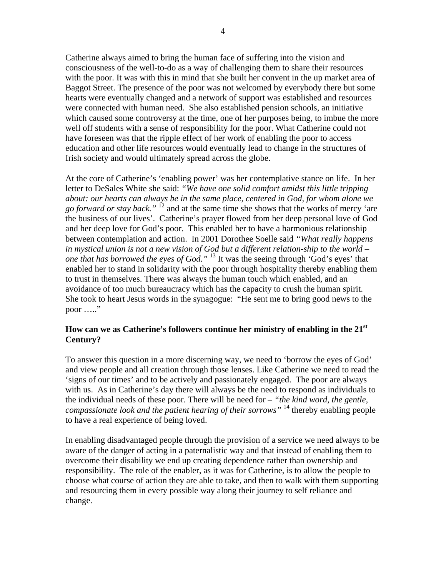Catherine always aimed to bring the human face of suffering into the vision and consciousness of the well-to-do as a way of challenging them to share their resources with the poor. It was with this in mind that she built her convent in the up market area of Baggot Street. The presence of the poor was not welcomed by everybody there but some hearts were eventually changed and a network of support was established and resources were connected with human need. She also established pension schools, an initiative which caused some controversy at the time, one of her purposes being, to imbue the more well off students with a sense of responsibility for the poor. What Catherine could not have foreseen was that the ripple effect of her work of enabling the poor to access education and other life resources would eventually lead to change in the structures of Irish society and would ultimately spread across the globe.

At the core of Catherine's 'enabling power' was her contemplative stance on life. In her letter to DeSales White she said: *"We have one solid comfort amidst this little tripping about: our hearts can always be in the same place, centered in God, for whom alone we go forward or stay back."* 12 and at the same time she shows that the works of mercy 'are the business of our lives'. Catherine's prayer flowed from her deep personal love of God and her deep love for God's poor. This enabled her to have a harmonious relationship between contemplation and action. In 2001 Dorothee Soelle said *"What really happens in mystical union is not a new vision of God but a different relation-ship to the world – one that has borrowed the eyes of God."* 13 It was the seeing through 'God's eyes' that enabled her to stand in solidarity with the poor through hospitality thereby enabling them to trust in themselves. There was always the human touch which enabled, and an avoidance of too much bureaucracy which has the capacity to crush the human spirit. She took to heart Jesus words in the synagogue: "He sent me to bring good news to the poor ……"

## **How can we as Catherine's followers continue her ministry of enabling in the 21st Century?**

To answer this question in a more discerning way, we need to 'borrow the eyes of God' and view people and all creation through those lenses. Like Catherine we need to read the 'signs of our times' and to be actively and passionately engaged. The poor are always with us. As in Catherine's day there will always be the need to respond as individuals to the individual needs of these poor. There will be need for – *"the kind word, the gentle, compassionate look and the patient hearing of their sorrows"* 14 thereby enabling people to have a real experience of being loved.

In enabling disadvantaged people through the provision of a service we need always to be aware of the danger of acting in a paternalistic way and that instead of enabling them to overcome their disability we end up creating dependence rather than ownership and responsibility. The role of the enabler, as it was for Catherine, is to allow the people to choose what course of action they are able to take, and then to walk with them supporting and resourcing them in every possible way along their journey to self reliance and change.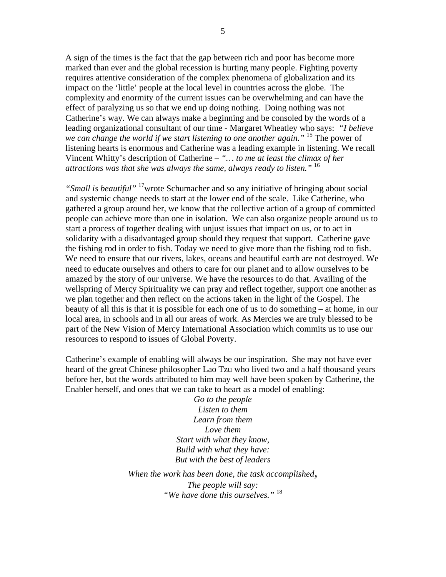A sign of the times is the fact that the gap between rich and poor has become more marked than ever and the global recession is hurting many people. Fighting poverty requires attentive consideration of the complex phenomena of globalization and its impact on the 'little' people at the local level in countries across the globe. The complexity and enormity of the current issues can be overwhelming and can have the effect of paralyzing us so that we end up doing nothing. Doing nothing was not Catherine's way. We can always make a beginning and be consoled by the words of a leading organizational consultant of our time - Margaret Wheatley who says: *"I believe we can change the world if we start listening to one another again."* <sup>15</sup> The power of listening hearts is enormous and Catherine was a leading example in listening. We recall Vincent Whitty's description of Catherine – *"… to me at least the climax of her attractions was that she was always the same, always ready to listen."* <sup>16</sup>

*"Small is beautiful"* 17wrote Schumacher and so any initiative of bringing about social and systemic change needs to start at the lower end of the scale. Like Catherine, who gathered a group around her, we know that the collective action of a group of committed people can achieve more than one in isolation. We can also organize people around us to start a process of together dealing with unjust issues that impact on us, or to act in solidarity with a disadvantaged group should they request that support. Catherine gave the fishing rod in order to fish. Today we need to give more than the fishing rod to fish. We need to ensure that our rivers, lakes, oceans and beautiful earth are not destroyed. We need to educate ourselves and others to care for our planet and to allow ourselves to be amazed by the story of our universe. We have the resources to do that. Availing of the wellspring of Mercy Spirituality we can pray and reflect together, support one another as we plan together and then reflect on the actions taken in the light of the Gospel. The beauty of all this is that it is possible for each one of us to do something – at home, in our local area, in schools and in all our areas of work. As Mercies we are truly blessed to be part of the New Vision of Mercy International Association which commits us to use our resources to respond to issues of Global Poverty.

Catherine's example of enabling will always be our inspiration. She may not have ever heard of the great Chinese philosopher Lao Tzu who lived two and a half thousand years before her, but the words attributed to him may well have been spoken by Catherine, the Enabler herself, and ones that we can take to heart as a model of enabling:

> *Go to the people Listen to them Learn from them Love them Start with what they know, Build with what they have: But with the best of leaders*

*When the work has been done, the task accomplished, The people will say: "We have done this ourselves."* <sup>18</sup>